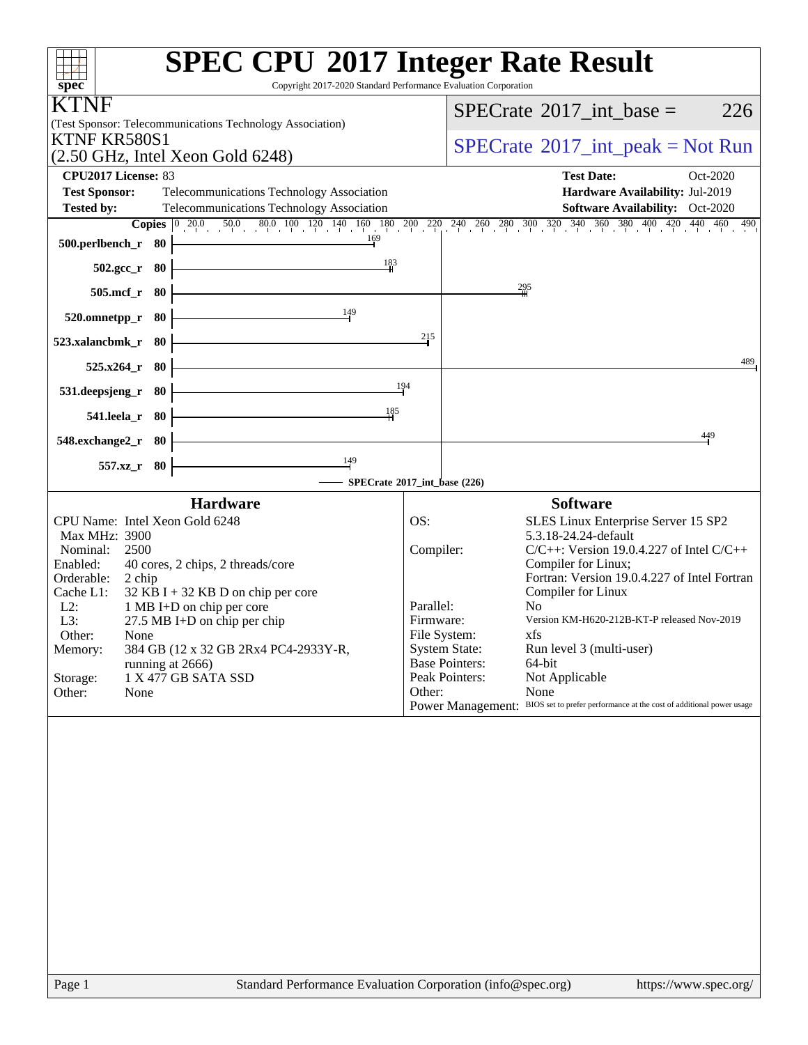| <b>SPEC CPU®2017 Integer Rate Result</b><br>Copyright 2017-2020 Standard Performance Evaluation Corporation<br>spec <sup>®</sup>                                                                                    |           |                                               |                                                                      |
|---------------------------------------------------------------------------------------------------------------------------------------------------------------------------------------------------------------------|-----------|-----------------------------------------------|----------------------------------------------------------------------|
| TNF<br>(Test Sponsor: Telecommunications Technology Association)                                                                                                                                                    |           |                                               | $SPECrate^{\circledast}2017\_int\_base =$<br>226                     |
| KTNF KR580S1<br>$(2.50 \text{ GHz}, \text{Intel Xeon Gold } 6248)$                                                                                                                                                  |           |                                               | $SPECTate@2017_int\_peak = Not Run$                                  |
| CPU2017 License: 83                                                                                                                                                                                                 |           |                                               | <b>Test Date:</b><br>Oct-2020                                        |
| <b>Test Sponsor:</b><br>Telecommunications Technology Association                                                                                                                                                   |           |                                               | Hardware Availability: Jul-2019                                      |
| <b>Tested by:</b><br>Telecommunications Technology Association                                                                                                                                                      |           |                                               | Software Availability: Oct-2020                                      |
| <b>Copies</b> $\begin{bmatrix} 0 & 20.0 & 50.0 & 80.0 & 100 & 120 & 140 & 160 & 180 & 200 & 220 & 240 & 260 & 280 & 300 & 320 & 340 & 360 & 400 & 420 & 440 & 460 & 490 \end{bmatrix}$<br>169<br>500.perlbench_r 80 |           |                                               |                                                                      |
| 183<br>502.gcc_r 80                                                                                                                                                                                                 |           |                                               |                                                                      |
| 505.mcf_r 80                                                                                                                                                                                                        |           | 295                                           |                                                                      |
| 149<br>520.omnetpp_r 80                                                                                                                                                                                             |           |                                               |                                                                      |
| 523.xalancbmk_r<br>-80                                                                                                                                                                                              | 215       |                                               |                                                                      |
| 525.x264 r<br>- 80                                                                                                                                                                                                  |           |                                               | 489                                                                  |
| 531.deepsjeng_r<br>- 80                                                                                                                                                                                             | 194       |                                               |                                                                      |
| 185<br>541.leela_r 80                                                                                                                                                                                               |           |                                               |                                                                      |
| 548.exchange2_r 80                                                                                                                                                                                                  |           |                                               | 449                                                                  |
| $\frac{149}{ }$<br>$557.xz$ _r<br>- 80<br>SPECrate®2017_int_base (226)                                                                                                                                              |           |                                               |                                                                      |
| <b>Hardware</b>                                                                                                                                                                                                     |           |                                               | <b>Software</b>                                                      |
| CPU Name: Intel Xeon Gold 6248                                                                                                                                                                                      | OS:       |                                               | SLES Linux Enterprise Server 15 SP2                                  |
| Max MHz: 3900                                                                                                                                                                                                       |           |                                               | 5.3.18-24.24-default                                                 |
| Nominal:<br>2500<br>Enabled:<br>40 cores, 2 chips, 2 threads/core                                                                                                                                                   | Compiler: |                                               | $C/C++$ : Version 19.0.4.227 of Intel $C/C++$<br>Compiler for Linux; |
| Orderable:<br>2 chip                                                                                                                                                                                                |           |                                               | Fortran: Version 19.0.4.227 of Intel Fortran                         |
| $32$ KB I + 32 KB D on chip per core<br>Cache L1:<br>$L2$ :<br>1 MB I+D on chip per core                                                                                                                            | Parallel: |                                               | Compiler for Linux<br>N <sub>0</sub>                                 |
| 27.5 MB I+D on chip per chip<br>L3:                                                                                                                                                                                 | Firmware: |                                               | Version KM-H620-212B-KT-P released Nov-2019                          |
| Other:<br>None                                                                                                                                                                                                      |           | File System:                                  | xfs                                                                  |
| 384 GB (12 x 32 GB 2Rx4 PC4-2933Y-R,<br>Memory:                                                                                                                                                                     |           | <b>System State:</b><br><b>Base Pointers:</b> | Run level 3 (multi-user)<br>64-bit                                   |
| running at 2666)<br>1 X 477 GB SATA SSD<br>Storage:                                                                                                                                                                 |           | Peak Pointers:                                | Not Applicable                                                       |
| Other:<br>None                                                                                                                                                                                                      | Other:    |                                               | None                                                                 |
|                                                                                                                                                                                                                     |           | Power Management:                             | BIOS set to prefer performance at the cost of additional power usage |
|                                                                                                                                                                                                                     |           |                                               |                                                                      |
|                                                                                                                                                                                                                     |           |                                               |                                                                      |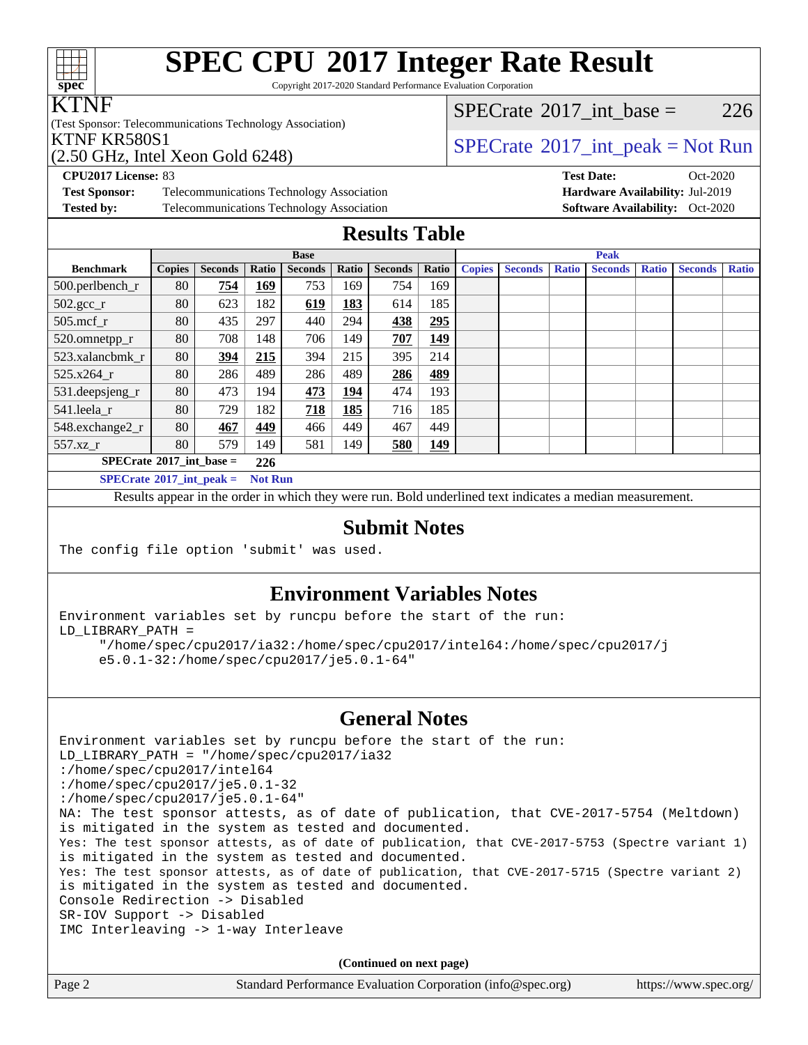# **[spec](http://www.spec.org/)**

# **[SPEC CPU](http://www.spec.org/auto/cpu2017/Docs/result-fields.html#SPECCPU2017IntegerRateResult)[2017 Integer Rate Result](http://www.spec.org/auto/cpu2017/Docs/result-fields.html#SPECCPU2017IntegerRateResult)**

Copyright 2017-2020 Standard Performance Evaluation Corporation

#### KTNF

(Test Sponsor: Telecommunications Technology Association)

 $SPECTate@2017\_int\_base = 226$ 

**[CPU2017 License:](http://www.spec.org/auto/cpu2017/Docs/result-fields.html#CPU2017License)** 83 **[Test Date:](http://www.spec.org/auto/cpu2017/Docs/result-fields.html#TestDate)** Oct-2020 **[Test Sponsor:](http://www.spec.org/auto/cpu2017/Docs/result-fields.html#TestSponsor)** Telecommunications Technology Association **[Hardware Availability:](http://www.spec.org/auto/cpu2017/Docs/result-fields.html#HardwareAvailability)** Jul-2019 **[Tested by:](http://www.spec.org/auto/cpu2017/Docs/result-fields.html#Testedby)** Telecommunications Technology Association **[Software Availability:](http://www.spec.org/auto/cpu2017/Docs/result-fields.html#SoftwareAvailability)** Oct-2020

| KTNF KR580S1                                       | $\sqrt{\text{SPECrate}^{\circ 2017} \cdot \text{int\_peak}} = \text{Not Run}$ |
|----------------------------------------------------|-------------------------------------------------------------------------------|
| $(2.50 \text{ GHz}, \text{Intel Xeon Gold } 6248)$ |                                                                               |

### **[Results Table](http://www.spec.org/auto/cpu2017/Docs/result-fields.html#ResultsTable)**

|                                          | <b>Base</b>    |                |       |                |              | <b>Peak</b>    |            |               |                |              |                |              |                |              |
|------------------------------------------|----------------|----------------|-------|----------------|--------------|----------------|------------|---------------|----------------|--------------|----------------|--------------|----------------|--------------|
| <b>Benchmark</b>                         | <b>Copies</b>  | <b>Seconds</b> | Ratio | <b>Seconds</b> | <b>Ratio</b> | <b>Seconds</b> | Ratio      | <b>Copies</b> | <b>Seconds</b> | <b>Ratio</b> | <b>Seconds</b> | <b>Ratio</b> | <b>Seconds</b> | <b>Ratio</b> |
| 500.perlbench_r                          | 80             | 754            | 169   | 753            | 169          | 754            | 169        |               |                |              |                |              |                |              |
| $502.\text{gcc\_r}$                      | 80             | 623            | 182   | 619            | 183          | 614            | 185        |               |                |              |                |              |                |              |
| $505$ .mcf r                             | 80             | 435            | 297   | 440            | 294          | 438            | 295        |               |                |              |                |              |                |              |
| 520.omnetpp_r                            | 80             | 708            | 148   | 706            | 149          | 707            | <u>149</u> |               |                |              |                |              |                |              |
| 523.xalancbmk r                          | 80             | 394            | 215   | 394            | 215          | 395            | 214        |               |                |              |                |              |                |              |
| 525.x264 r                               | 80             | 286            | 489   | 286            | 489          | 286            | 489        |               |                |              |                |              |                |              |
| 531.deepsjeng_r                          | 80             | 473            | 194   | 473            | 194          | 474            | 193        |               |                |              |                |              |                |              |
| 541.leela_r                              | 80             | 729            | 182   | 718            | 185          | 716            | 185        |               |                |              |                |              |                |              |
| 548.exchange2_r                          | 80             | 467            | 449   | 466            | 449          | 467            | 449        |               |                |              |                |              |                |              |
| 557.xz                                   | 80             | 579            | 149   | 581            | 149          | 580            | 149        |               |                |              |                |              |                |              |
| $SPECrate^{\circledcirc}2017$ int base = | 226            |                |       |                |              |                |            |               |                |              |                |              |                |              |
| $SPECrate^{\circ}2017$ int peak =        | <b>Not Run</b> |                |       |                |              |                |            |               |                |              |                |              |                |              |

Results appear in the [order in which they were run](http://www.spec.org/auto/cpu2017/Docs/result-fields.html#RunOrder). Bold underlined text [indicates a median measurement](http://www.spec.org/auto/cpu2017/Docs/result-fields.html#Median).

#### **[Submit Notes](http://www.spec.org/auto/cpu2017/Docs/result-fields.html#SubmitNotes)**

The config file option 'submit' was used.

#### **[Environment Variables Notes](http://www.spec.org/auto/cpu2017/Docs/result-fields.html#EnvironmentVariablesNotes)**

Environment variables set by runcpu before the start of the run: LD\_LIBRARY\_PATH =

 "/home/spec/cpu2017/ia32:/home/spec/cpu2017/intel64:/home/spec/cpu2017/j e5.0.1-32:/home/spec/cpu2017/je5.0.1-64"

#### **[General Notes](http://www.spec.org/auto/cpu2017/Docs/result-fields.html#GeneralNotes)**

Environment variables set by runcpu before the start of the run: LD\_LIBRARY\_PATH = "/home/spec/cpu2017/ia32 :/home/spec/cpu2017/intel64 :/home/spec/cpu2017/je5.0.1-32 :/home/spec/cpu2017/je5.0.1-64" NA: The test sponsor attests, as of date of publication, that CVE-2017-5754 (Meltdown) is mitigated in the system as tested and documented. Yes: The test sponsor attests, as of date of publication, that CVE-2017-5753 (Spectre variant 1) is mitigated in the system as tested and documented. Yes: The test sponsor attests, as of date of publication, that CVE-2017-5715 (Spectre variant 2) is mitigated in the system as tested and documented. Console Redirection -> Disabled SR-IOV Support -> Disabled IMC Interleaving -> 1-way Interleave

**(Continued on next page)**

| Page 2 | Standard Performance Evaluation Corporation (info@spec.org) | https://www.spec.org/ |
|--------|-------------------------------------------------------------|-----------------------|
|--------|-------------------------------------------------------------|-----------------------|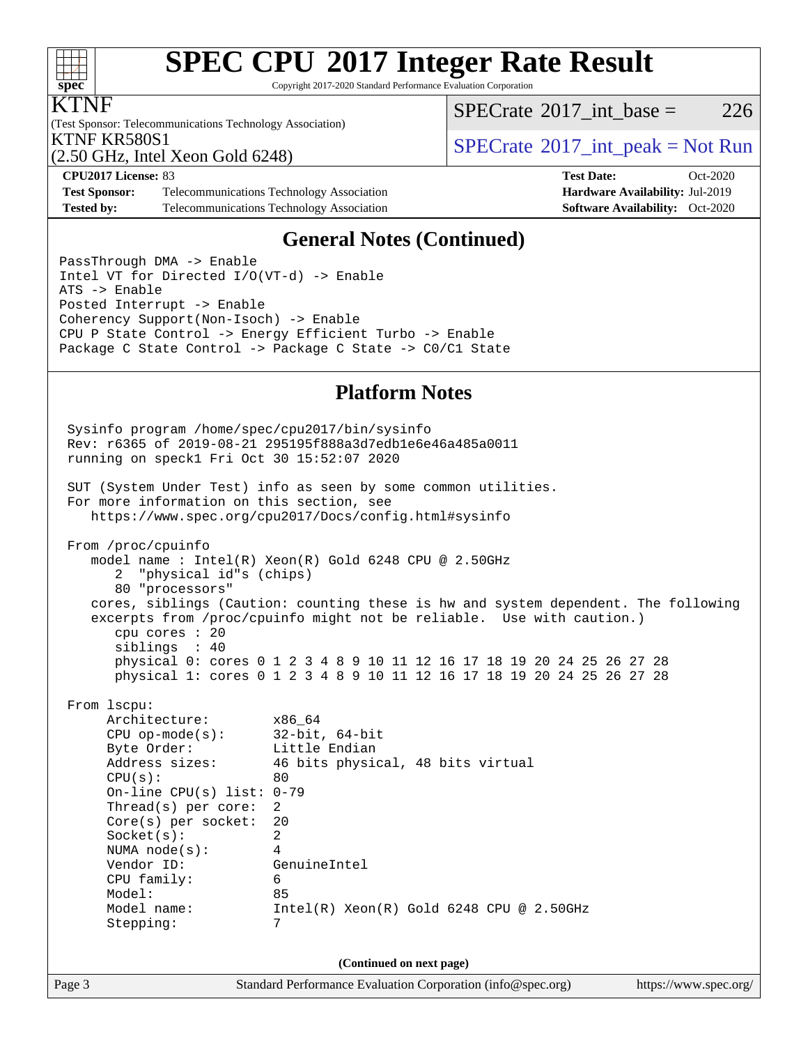

# **[SPEC CPU](http://www.spec.org/auto/cpu2017/Docs/result-fields.html#SPECCPU2017IntegerRateResult)[2017 Integer Rate Result](http://www.spec.org/auto/cpu2017/Docs/result-fields.html#SPECCPU2017IntegerRateResult)**

Copyright 2017-2020 Standard Performance Evaluation Corporation

#### KTNF

(Test Sponsor: Telecommunications Technology Association) (2.50 GHz, Intel Xeon Gold 6248)

[SPECrate](http://www.spec.org/auto/cpu2017/Docs/result-fields.html#SPECrate2017intbase)®2017 int\_base =  $226$ 

**[Test Sponsor:](http://www.spec.org/auto/cpu2017/Docs/result-fields.html#TestSponsor)** Telecommunications Technology Association **[Hardware Availability:](http://www.spec.org/auto/cpu2017/Docs/result-fields.html#HardwareAvailability)** Jul-2019 **[Tested by:](http://www.spec.org/auto/cpu2017/Docs/result-fields.html#Testedby)** Telecommunications Technology Association **[Software Availability:](http://www.spec.org/auto/cpu2017/Docs/result-fields.html#SoftwareAvailability)** Oct-2020

### KTNF KR580S1<br>  $SPECTU<sub>2</sub>$  So CIL Intel Year Gald 6248)

**[CPU2017 License:](http://www.spec.org/auto/cpu2017/Docs/result-fields.html#CPU2017License)** 83 **[Test Date:](http://www.spec.org/auto/cpu2017/Docs/result-fields.html#TestDate)** Oct-2020

#### **[General Notes \(Continued\)](http://www.spec.org/auto/cpu2017/Docs/result-fields.html#GeneralNotes)**

PassThrough DMA -> Enable Intel VT for Directed I/O(VT-d) -> Enable ATS -> Enable Posted Interrupt -> Enable Coherency Support(Non-Isoch) -> Enable CPU P State Control -> Energy Efficient Turbo -> Enable Package C State Control -> Package C State -> C0/C1 State

#### **[Platform Notes](http://www.spec.org/auto/cpu2017/Docs/result-fields.html#PlatformNotes)**

Page 3 Standard Performance Evaluation Corporation [\(info@spec.org\)](mailto:info@spec.org) <https://www.spec.org/> Sysinfo program /home/spec/cpu2017/bin/sysinfo Rev: r6365 of 2019-08-21 295195f888a3d7edb1e6e46a485a0011 running on speck1 Fri Oct 30 15:52:07 2020 SUT (System Under Test) info as seen by some common utilities. For more information on this section, see <https://www.spec.org/cpu2017/Docs/config.html#sysinfo> From /proc/cpuinfo model name : Intel(R) Xeon(R) Gold 6248 CPU @ 2.50GHz 2 "physical id"s (chips) 80 "processors" cores, siblings (Caution: counting these is hw and system dependent. The following excerpts from /proc/cpuinfo might not be reliable. Use with caution.) cpu cores : 20 siblings : 40 physical 0: cores 0 1 2 3 4 8 9 10 11 12 16 17 18 19 20 24 25 26 27 28 physical 1: cores 0 1 2 3 4 8 9 10 11 12 16 17 18 19 20 24 25 26 27 28 From lscpu: Architecture: x86\_64 CPU op-mode(s): 32-bit, 64-bit Byte Order: Little Endian Address sizes: 46 bits physical, 48 bits virtual  $CPU(s):$  80 On-line CPU(s) list: 0-79 Thread(s) per core: 2 Core(s) per socket: 20 Socket(s): 2 NUMA node(s): 4 Vendor ID: GenuineIntel CPU family: 6 Model: 85 Model name: Intel(R) Xeon(R) Gold 6248 CPU @ 2.50GHz Stepping: 7 **(Continued on next page)**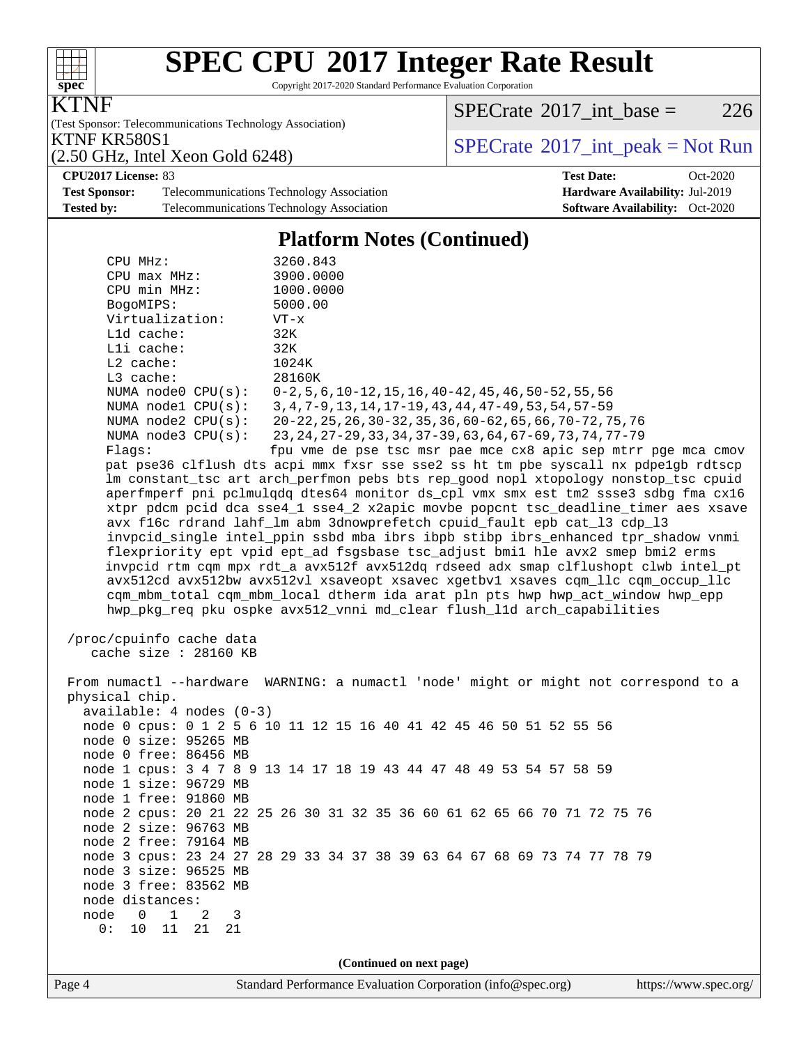

## **[SPEC CPU](http://www.spec.org/auto/cpu2017/Docs/result-fields.html#SPECCPU2017IntegerRateResult)[2017 Integer Rate Result](http://www.spec.org/auto/cpu2017/Docs/result-fields.html#SPECCPU2017IntegerRateResult)**

Copyright 2017-2020 Standard Performance Evaluation Corporation

KTNF

(Test Sponsor: Telecommunications Technology Association)

 $SPECTate@2017_int\_base = 226$ 

(2.50 GHz, Intel Xeon Gold 6248)

KTNF KR580S1<br>(2.50 GHz, Intel Xeon Gold 6248) [SPECrate](http://www.spec.org/auto/cpu2017/Docs/result-fields.html#SPECrate2017intpeak)®[2017\\_int\\_peak = N](http://www.spec.org/auto/cpu2017/Docs/result-fields.html#SPECrate2017intpeak)ot Run

**[CPU2017 License:](http://www.spec.org/auto/cpu2017/Docs/result-fields.html#CPU2017License)** 83 **[Test Date:](http://www.spec.org/auto/cpu2017/Docs/result-fields.html#TestDate)** Oct-2020

**[Test Sponsor:](http://www.spec.org/auto/cpu2017/Docs/result-fields.html#TestSponsor)** Telecommunications Technology Association **[Hardware Availability:](http://www.spec.org/auto/cpu2017/Docs/result-fields.html#HardwareAvailability)** Jul-2019 [Tested by:](http://www.spec.org/auto/cpu2017/Docs/result-fields.html#Testedby) Telecommunications Technology Association **[Software Availability:](http://www.spec.org/auto/cpu2017/Docs/result-fields.html#SoftwareAvailability)** Oct-2020

#### **[Platform Notes \(Continued\)](http://www.spec.org/auto/cpu2017/Docs/result-fields.html#PlatformNotes)**

| CPU MHz:<br>$CPU$ $max$ $MHz$ :<br>CPU min MHz:<br>BogoMIPS:<br>Virtualization:<br>L1d cache:<br>Lli cache:<br>$L2$ cache:<br>L3 cache:<br>NUMA nodel CPU(s):<br>NUMA $node2$ $CPU(s):$<br>NUMA $node3$ $CPU(s):$<br>Flaqs: | 3260.843<br>3900.0000<br>1000.0000<br>5000.00<br>$VT - x$<br>32K<br>32K<br>1024K<br>28160K<br>NUMA node0 CPU(s): 0-2,5,6,10-12,15,16,40-42,45,46,50-52,55,56<br>3, 4, 7-9, 13, 14, 17-19, 43, 44, 47-49, 53, 54, 57-59<br>20-22, 25, 26, 30-32, 35, 36, 60-62, 65, 66, 70-72, 75, 76<br>23, 24, 27–29, 33, 34, 37–39, 63, 64, 67–69, 73, 74, 77–79<br>fpu vme de pse tsc msr pae mce cx8 apic sep mtrr pge mca cmov<br>pat pse36 clflush dts acpi mmx fxsr sse sse2 ss ht tm pbe syscall nx pdpelgb rdtscp<br>lm constant_tsc art arch_perfmon pebs bts rep_good nopl xtopology nonstop_tsc cpuid<br>aperfmperf pni pclmulqdq dtes64 monitor ds_cpl vmx smx est tm2 ssse3 sdbg fma cx16<br>xtpr pdcm pcid dca sse4_1 sse4_2 x2apic movbe popcnt tsc_deadline_timer aes xsave<br>avx f16c rdrand lahf_lm abm 3dnowprefetch cpuid_fault epb cat_13 cdp_13<br>invpcid_single intel_ppin ssbd mba ibrs ibpb stibp ibrs_enhanced tpr_shadow vnmi |  |  |  |  |  |
|-----------------------------------------------------------------------------------------------------------------------------------------------------------------------------------------------------------------------------|---------------------------------------------------------------------------------------------------------------------------------------------------------------------------------------------------------------------------------------------------------------------------------------------------------------------------------------------------------------------------------------------------------------------------------------------------------------------------------------------------------------------------------------------------------------------------------------------------------------------------------------------------------------------------------------------------------------------------------------------------------------------------------------------------------------------------------------------------------------------------------------------------------------------------------------------|--|--|--|--|--|
|                                                                                                                                                                                                                             | flexpriority ept vpid ept_ad fsgsbase tsc_adjust bmil hle avx2 smep bmi2 erms<br>invpcid rtm cqm mpx rdt_a avx512f avx512dq rdseed adx smap clflushopt clwb intel_pt                                                                                                                                                                                                                                                                                                                                                                                                                                                                                                                                                                                                                                                                                                                                                                        |  |  |  |  |  |
|                                                                                                                                                                                                                             | avx512cd avx512bw avx512vl xsaveopt xsavec xgetbvl xsaves cqm_llc cqm_occup_llc<br>cqm_mbm_total cqm_mbm_local dtherm ida arat pln pts hwp hwp_act_window hwp_epp<br>hwp_pkg_req pku ospke avx512_vnni md_clear flush_lld arch_capabilities                                                                                                                                                                                                                                                                                                                                                                                                                                                                                                                                                                                                                                                                                                 |  |  |  |  |  |
| /proc/cpuinfo cache data<br>cache size : 28160 KB                                                                                                                                                                           |                                                                                                                                                                                                                                                                                                                                                                                                                                                                                                                                                                                                                                                                                                                                                                                                                                                                                                                                             |  |  |  |  |  |
| physical chip.<br>$available: 4 nodes (0-3)$<br>node 0 size: 95265 MB                                                                                                                                                       | From numactl --hardware WARNING: a numactl 'node' might or might not correspond to a<br>node 0 cpus: 0 1 2 5 6 10 11 12 15 16 40 41 42 45 46 50 51 52 55 56                                                                                                                                                                                                                                                                                                                                                                                                                                                                                                                                                                                                                                                                                                                                                                                 |  |  |  |  |  |
| node 0 free: 86456 MB                                                                                                                                                                                                       | node 1 cpus: 3 4 7 8 9 13 14 17 18 19 43 44 47 48 49 53 54 57 58 59                                                                                                                                                                                                                                                                                                                                                                                                                                                                                                                                                                                                                                                                                                                                                                                                                                                                         |  |  |  |  |  |
| node 1 size: 96729 MB<br>node 1 free: 91860 MB                                                                                                                                                                              |                                                                                                                                                                                                                                                                                                                                                                                                                                                                                                                                                                                                                                                                                                                                                                                                                                                                                                                                             |  |  |  |  |  |
| node 2 size: 96763 MB                                                                                                                                                                                                       | node 2 cpus: 20 21 22 25 26 30 31 32 35 36 60 61 62 65 66 70 71 72 75 76                                                                                                                                                                                                                                                                                                                                                                                                                                                                                                                                                                                                                                                                                                                                                                                                                                                                    |  |  |  |  |  |
| node 2 free: 79164 MB<br>node 3 size: 96525 MB<br>node 3 free: 83562 MB<br>node distances:                                                                                                                                  | node 3 cpus: 23 24 27 28 29 33 34 37 38 39 63 64 67 68 69 73 74 77 78 79                                                                                                                                                                                                                                                                                                                                                                                                                                                                                                                                                                                                                                                                                                                                                                                                                                                                    |  |  |  |  |  |
| node 0<br>$\overline{1}$<br>-2<br>3<br>11<br>0:<br>10<br>21<br>21                                                                                                                                                           |                                                                                                                                                                                                                                                                                                                                                                                                                                                                                                                                                                                                                                                                                                                                                                                                                                                                                                                                             |  |  |  |  |  |
| (Continued on next page)                                                                                                                                                                                                    |                                                                                                                                                                                                                                                                                                                                                                                                                                                                                                                                                                                                                                                                                                                                                                                                                                                                                                                                             |  |  |  |  |  |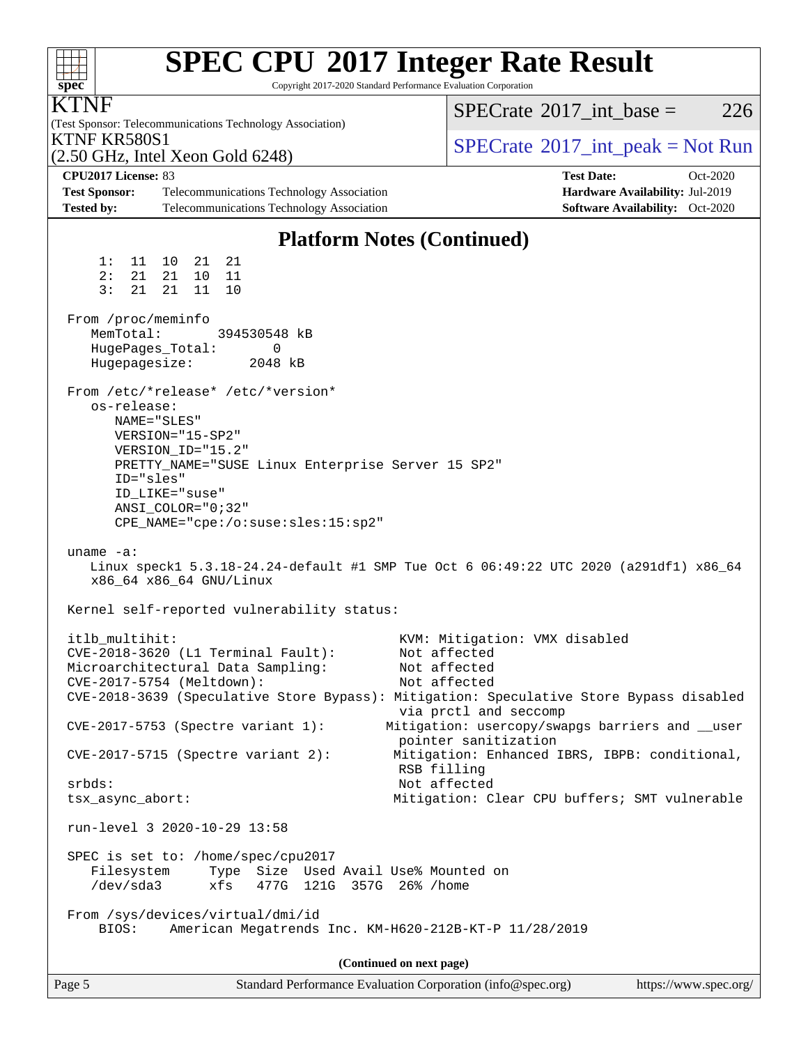| <b>SPEC CPU®2017 Integer Rate Result</b><br>Copyright 2017-2020 Standard Performance Evaluation Corporation<br>$spec^*$                             |                                                                         |
|-----------------------------------------------------------------------------------------------------------------------------------------------------|-------------------------------------------------------------------------|
| ľNF<br>(Test Sponsor: Telecommunications Technology Association)                                                                                    | $SPECrate^{\circledast}2017$ int base =<br>226                          |
| KTNF KR580S1<br>$(2.50 \text{ GHz}, \text{Intel Xeon Gold } 6248)$                                                                                  | $SPECTate@2017_int\_peak = Not Run$                                     |
| CPU2017 License: 83                                                                                                                                 | <b>Test Date:</b><br>Oct-2020                                           |
| <b>Test Sponsor:</b><br>Telecommunications Technology Association<br><b>Tested by:</b><br>Telecommunications Technology Association                 | Hardware Availability: Jul-2019<br>Software Availability: Oct-2020      |
|                                                                                                                                                     |                                                                         |
| <b>Platform Notes (Continued)</b>                                                                                                                   |                                                                         |
| 1:<br>11 10<br>21<br>-21                                                                                                                            |                                                                         |
| 2:<br>21<br>21<br>11<br>10<br>3:<br>21<br>21 11<br>10                                                                                               |                                                                         |
|                                                                                                                                                     |                                                                         |
| From /proc/meminfo<br>MemTotal:<br>394530548 kB                                                                                                     |                                                                         |
| HugePages_Total:<br>0                                                                                                                               |                                                                         |
| Hugepagesize:<br>2048 kB                                                                                                                            |                                                                         |
| From /etc/*release* /etc/*version*                                                                                                                  |                                                                         |
| os-release:                                                                                                                                         |                                                                         |
| NAME="SLES"<br>$VERSION = "15-SP2"$                                                                                                                 |                                                                         |
| VERSION_ID="15.2"                                                                                                                                   |                                                                         |
| PRETTY_NAME="SUSE Linux Enterprise Server 15 SP2"                                                                                                   |                                                                         |
| ID="sles"<br>ID LIKE="suse"                                                                                                                         |                                                                         |
| $ANSI$ _COLOR="0;32"                                                                                                                                |                                                                         |
| CPE_NAME="cpe:/o:suse:sles:15:sp2"                                                                                                                  |                                                                         |
| uname $-a$ :<br>Linux speck1 5.3.18-24.24-default #1 SMP Tue Oct 6 06:49:22 UTC 2020 (a291df1) x86_64                                               |                                                                         |
| x86_64 x86_64 GNU/Linux                                                                                                                             |                                                                         |
| Kernel self-reported vulnerability status:                                                                                                          |                                                                         |
| itlb_multihit:                                                                                                                                      | KVM: Mitigation: VMX disabled                                           |
| CVE-2018-3620 (L1 Terminal Fault):<br>Microarchitectural Data Sampling:                                                                             | Not affected<br>Not affected                                            |
| CVE-2017-5754 (Meltdown):                                                                                                                           | Not affected                                                            |
| CVE-2018-3639 (Speculative Store Bypass): Mitigation: Speculative Store Bypass disabled                                                             | via prctl and seccomp                                                   |
| CVE-2017-5753 (Spectre variant 1):                                                                                                                  | Mitigation: usercopy/swapgs barriers and __user<br>pointer sanitization |
| $CVE-2017-5715$ (Spectre variant 2):<br>RSB filling                                                                                                 | Mitigation: Enhanced IBRS, IBPB: conditional,                           |
| Not affected<br>srbds:                                                                                                                              |                                                                         |
| tsx_async_abort:                                                                                                                                    | Mitigation: Clear CPU buffers; SMT vulnerable                           |
| run-level 3 2020-10-29 13:58                                                                                                                        |                                                                         |
| SPEC is set to: /home/spec/cpu2017<br>Type Size Used Avail Use% Mounted on<br>Filesystem<br>$/\text{dev/sda}$ 3<br>477G 121G 357G 26% / home<br>xfs |                                                                         |
| From /sys/devices/virtual/dmi/id<br>American Megatrends Inc. KM-H620-212B-KT-P 11/28/2019<br>BIOS:                                                  |                                                                         |
| (Continued on next page)                                                                                                                            |                                                                         |
| Page 5<br>Standard Performance Evaluation Corporation (info@spec.org)                                                                               | https://www.spec.org/                                                   |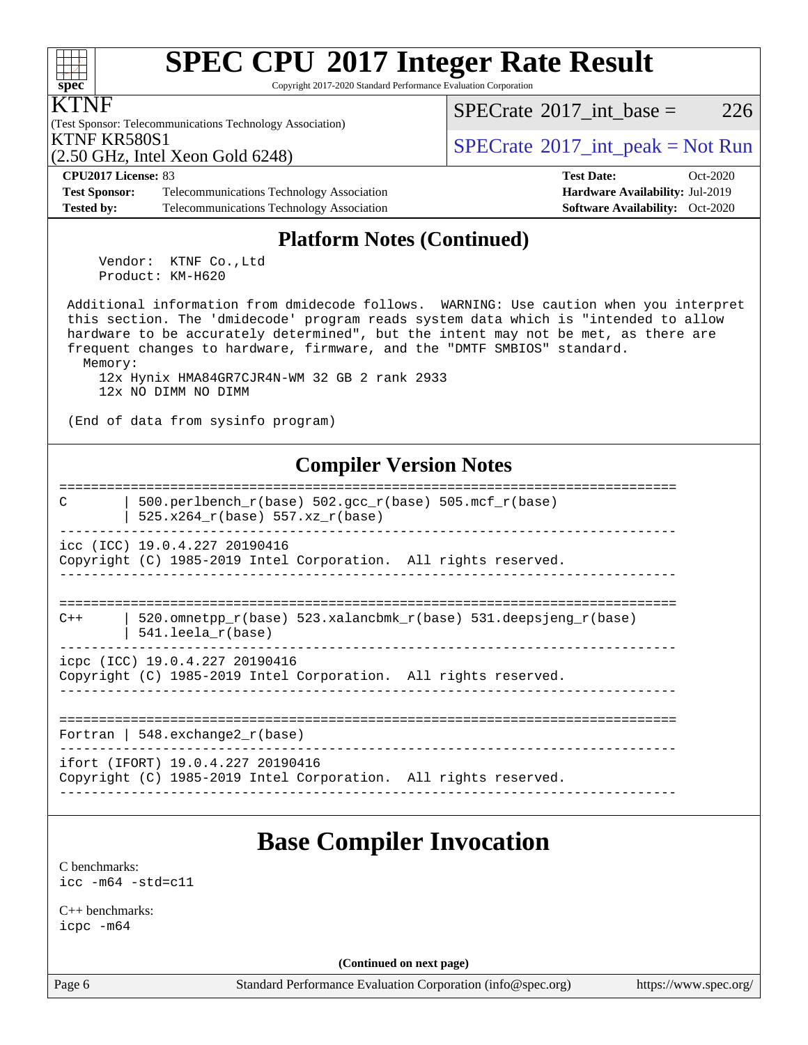#### **[SPEC CPU](http://www.spec.org/auto/cpu2017/Docs/result-fields.html#SPECCPU2017IntegerRateResult)[2017 Integer Rate Result](http://www.spec.org/auto/cpu2017/Docs/result-fields.html#SPECCPU2017IntegerRateResult)**  $+\ +$ **[spec](http://www.spec.org/)** Copyright 2017-2020 Standard Performance Evaluation Corporation KTNF [SPECrate](http://www.spec.org/auto/cpu2017/Docs/result-fields.html#SPECrate2017intbase)<sup>®</sup>2017 int base = 226 (Test Sponsor: Telecommunications Technology Association) KTNF KR580S1<br>  $SPECTIR$  Jatel Year Gald 6248) (2.50 GHz, Intel Xeon Gold 6248) **[CPU2017 License:](http://www.spec.org/auto/cpu2017/Docs/result-fields.html#CPU2017License)** 83 **[Test Date:](http://www.spec.org/auto/cpu2017/Docs/result-fields.html#TestDate)** Oct-2020 **[Test Sponsor:](http://www.spec.org/auto/cpu2017/Docs/result-fields.html#TestSponsor)** Telecommunications Technology Association **[Hardware Availability:](http://www.spec.org/auto/cpu2017/Docs/result-fields.html#HardwareAvailability)** Jul-2019 **[Tested by:](http://www.spec.org/auto/cpu2017/Docs/result-fields.html#Testedby)** Telecommunications Technology Association **[Software Availability:](http://www.spec.org/auto/cpu2017/Docs/result-fields.html#SoftwareAvailability)** Oct-2020 **[Platform Notes \(Continued\)](http://www.spec.org/auto/cpu2017/Docs/result-fields.html#PlatformNotes)** Vendor: KTNF Co.,Ltd Product: KM-H620 Additional information from dmidecode follows. WARNING: Use caution when you interpret this section. The 'dmidecode' program reads system data which is "intended to allow hardware to be accurately determined", but the intent may not be met, as there are frequent changes to hardware, firmware, and the "DMTF SMBIOS" standard. Memory: 12x Hynix HMA84GR7CJR4N-WM 32 GB 2 rank 2933 12x NO DIMM NO DIMM (End of data from sysinfo program) **[Compiler Version Notes](http://www.spec.org/auto/cpu2017/Docs/result-fields.html#CompilerVersionNotes)** ============================================================================== C  $\vert$  500.perlbench\_r(base) 502.gcc\_r(base) 505.mcf\_r(base) | 525.x264\_r(base) 557.xz\_r(base) ----------------------------------------------------------------------------- icc (ICC) 19.0.4.227 20190416 Copyright (C) 1985-2019 Intel Corporation. All rights reserved. ------------------------------------------------------------------------------ ============================================================================== C++ | 520.omnetpp  $r(base)$  523.xalancbmk  $r(base)$  531.deepsjeng  $r(base)$  | 541.leela\_r(base) ----------------------------------------------------------------------------- icpc (ICC) 19.0.4.227 20190416 Copyright (C) 1985-2019 Intel Corporation. All rights reserved. ------------------------------------------------------------------------------ ============================================================================== Fortran | 548.exchange2\_r(base) ----------------------------------------------------------------------------- ifort (IFORT) 19.0.4.227 20190416 Copyright (C) 1985-2019 Intel Corporation. All rights reserved. ------------------------------------------------------------------------------ **[Base Compiler Invocation](http://www.spec.org/auto/cpu2017/Docs/result-fields.html#BaseCompilerInvocation)** [C benchmarks](http://www.spec.org/auto/cpu2017/Docs/result-fields.html#Cbenchmarks): [icc -m64 -std=c11](http://www.spec.org/cpu2017/results/res2020q4/cpu2017-20201030-24335.flags.html#user_CCbase_intel_icc_64bit_c11_33ee0cdaae7deeeab2a9725423ba97205ce30f63b9926c2519791662299b76a0318f32ddfffdc46587804de3178b4f9328c46fa7c2b0cd779d7a61945c91cd35) [C++ benchmarks:](http://www.spec.org/auto/cpu2017/Docs/result-fields.html#CXXbenchmarks)

[icpc -m64](http://www.spec.org/cpu2017/results/res2020q4/cpu2017-20201030-24335.flags.html#user_CXXbase_intel_icpc_64bit_4ecb2543ae3f1412ef961e0650ca070fec7b7afdcd6ed48761b84423119d1bf6bdf5cad15b44d48e7256388bc77273b966e5eb805aefd121eb22e9299b2ec9d9)

**(Continued on next page)**

Page 6 Standard Performance Evaluation Corporation [\(info@spec.org\)](mailto:info@spec.org) <https://www.spec.org/>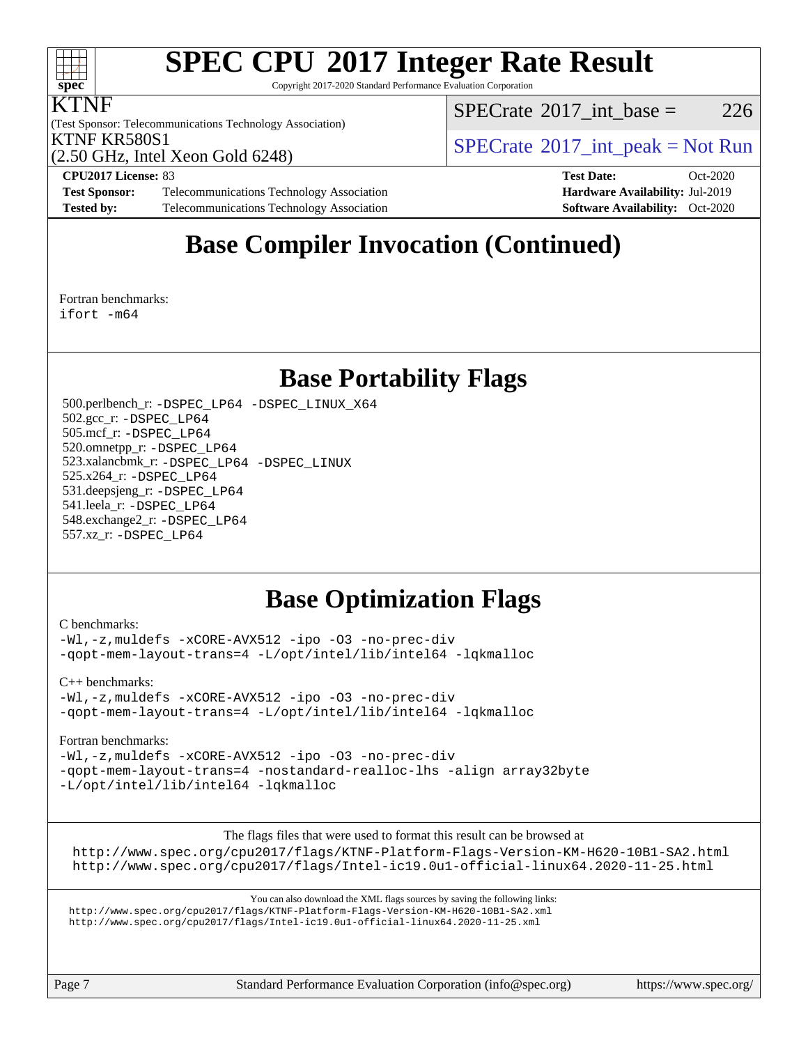

# **[SPEC CPU](http://www.spec.org/auto/cpu2017/Docs/result-fields.html#SPECCPU2017IntegerRateResult)[2017 Integer Rate Result](http://www.spec.org/auto/cpu2017/Docs/result-fields.html#SPECCPU2017IntegerRateResult)**

Copyright 2017-2020 Standard Performance Evaluation Corporation

#### KTNF

(Test Sponsor: Telecommunications Technology Association) (2.50 GHz, Intel Xeon Gold 6248)

 $SPECTate@2017\_int\_base = 226$ 

**[Test Sponsor:](http://www.spec.org/auto/cpu2017/Docs/result-fields.html#TestSponsor)** Telecommunications Technology Association **[Hardware Availability:](http://www.spec.org/auto/cpu2017/Docs/result-fields.html#HardwareAvailability)** Jul-2019 **[Tested by:](http://www.spec.org/auto/cpu2017/Docs/result-fields.html#Testedby)** Telecommunications Technology Association **[Software Availability:](http://www.spec.org/auto/cpu2017/Docs/result-fields.html#SoftwareAvailability)** Oct-2020

KTNF KR580S1<br>  $SPECTU<sub>2</sub>$  So CIL Intel Year Gald 6248)

**[CPU2017 License:](http://www.spec.org/auto/cpu2017/Docs/result-fields.html#CPU2017License)** 83 **[Test Date:](http://www.spec.org/auto/cpu2017/Docs/result-fields.html#TestDate)** Oct-2020

### **[Base Compiler Invocation \(Continued\)](http://www.spec.org/auto/cpu2017/Docs/result-fields.html#BaseCompilerInvocation)**

[Fortran benchmarks](http://www.spec.org/auto/cpu2017/Docs/result-fields.html#Fortranbenchmarks): [ifort -m64](http://www.spec.org/cpu2017/results/res2020q4/cpu2017-20201030-24335.flags.html#user_FCbase_intel_ifort_64bit_24f2bb282fbaeffd6157abe4f878425411749daecae9a33200eee2bee2fe76f3b89351d69a8130dd5949958ce389cf37ff59a95e7a40d588e8d3a57e0c3fd751)

### **[Base Portability Flags](http://www.spec.org/auto/cpu2017/Docs/result-fields.html#BasePortabilityFlags)**

 500.perlbench\_r: [-DSPEC\\_LP64](http://www.spec.org/cpu2017/results/res2020q4/cpu2017-20201030-24335.flags.html#b500.perlbench_r_basePORTABILITY_DSPEC_LP64) [-DSPEC\\_LINUX\\_X64](http://www.spec.org/cpu2017/results/res2020q4/cpu2017-20201030-24335.flags.html#b500.perlbench_r_baseCPORTABILITY_DSPEC_LINUX_X64) 502.gcc\_r: [-DSPEC\\_LP64](http://www.spec.org/cpu2017/results/res2020q4/cpu2017-20201030-24335.flags.html#suite_basePORTABILITY502_gcc_r_DSPEC_LP64) 505.mcf\_r: [-DSPEC\\_LP64](http://www.spec.org/cpu2017/results/res2020q4/cpu2017-20201030-24335.flags.html#suite_basePORTABILITY505_mcf_r_DSPEC_LP64) 520.omnetpp\_r: [-DSPEC\\_LP64](http://www.spec.org/cpu2017/results/res2020q4/cpu2017-20201030-24335.flags.html#suite_basePORTABILITY520_omnetpp_r_DSPEC_LP64) 523.xalancbmk\_r: [-DSPEC\\_LP64](http://www.spec.org/cpu2017/results/res2020q4/cpu2017-20201030-24335.flags.html#suite_basePORTABILITY523_xalancbmk_r_DSPEC_LP64) [-DSPEC\\_LINUX](http://www.spec.org/cpu2017/results/res2020q4/cpu2017-20201030-24335.flags.html#b523.xalancbmk_r_baseCXXPORTABILITY_DSPEC_LINUX) 525.x264\_r: [-DSPEC\\_LP64](http://www.spec.org/cpu2017/results/res2020q4/cpu2017-20201030-24335.flags.html#suite_basePORTABILITY525_x264_r_DSPEC_LP64) 531.deepsjeng\_r: [-DSPEC\\_LP64](http://www.spec.org/cpu2017/results/res2020q4/cpu2017-20201030-24335.flags.html#suite_basePORTABILITY531_deepsjeng_r_DSPEC_LP64) 541.leela\_r: [-DSPEC\\_LP64](http://www.spec.org/cpu2017/results/res2020q4/cpu2017-20201030-24335.flags.html#suite_basePORTABILITY541_leela_r_DSPEC_LP64) 548.exchange2\_r: [-DSPEC\\_LP64](http://www.spec.org/cpu2017/results/res2020q4/cpu2017-20201030-24335.flags.html#suite_basePORTABILITY548_exchange2_r_DSPEC_LP64) 557.xz\_r: [-DSPEC\\_LP64](http://www.spec.org/cpu2017/results/res2020q4/cpu2017-20201030-24335.flags.html#suite_basePORTABILITY557_xz_r_DSPEC_LP64)

### **[Base Optimization Flags](http://www.spec.org/auto/cpu2017/Docs/result-fields.html#BaseOptimizationFlags)**

#### [C benchmarks](http://www.spec.org/auto/cpu2017/Docs/result-fields.html#Cbenchmarks):

[-Wl,-z,muldefs](http://www.spec.org/cpu2017/results/res2020q4/cpu2017-20201030-24335.flags.html#user_CCbase_link_force_multiple1_b4cbdb97b34bdee9ceefcfe54f4c8ea74255f0b02a4b23e853cdb0e18eb4525ac79b5a88067c842dd0ee6996c24547a27a4b99331201badda8798ef8a743f577) [-xCORE-AVX512](http://www.spec.org/cpu2017/results/res2020q4/cpu2017-20201030-24335.flags.html#user_CCbase_f-xCORE-AVX512) [-ipo](http://www.spec.org/cpu2017/results/res2020q4/cpu2017-20201030-24335.flags.html#user_CCbase_f-ipo) [-O3](http://www.spec.org/cpu2017/results/res2020q4/cpu2017-20201030-24335.flags.html#user_CCbase_f-O3) [-no-prec-div](http://www.spec.org/cpu2017/results/res2020q4/cpu2017-20201030-24335.flags.html#user_CCbase_f-no-prec-div) [-qopt-mem-layout-trans=4](http://www.spec.org/cpu2017/results/res2020q4/cpu2017-20201030-24335.flags.html#user_CCbase_f-qopt-mem-layout-trans_fa39e755916c150a61361b7846f310bcdf6f04e385ef281cadf3647acec3f0ae266d1a1d22d972a7087a248fd4e6ca390a3634700869573d231a252c784941a8) [-L/opt/intel/lib/intel64](http://www.spec.org/cpu2017/results/res2020q4/cpu2017-20201030-24335.flags.html#user_CCbase_qkmalloc_link_a7a17448f930247cabe2592eba001ba9fd3524f9855bb6f8b81bcd1c93de0a9411de9aa4f86d1d723ffba84c0400760b10ca4f4a8c5c76ab42968d8f9e3d775e) [-lqkmalloc](http://www.spec.org/cpu2017/results/res2020q4/cpu2017-20201030-24335.flags.html#user_CCbase_qkmalloc_link_lib_79a818439969f771c6bc311cfd333c00fc099dad35c030f5aab9dda831713d2015205805422f83de8875488a2991c0a156aaa600e1f9138f8fc37004abc96dc5)

[C++ benchmarks:](http://www.spec.org/auto/cpu2017/Docs/result-fields.html#CXXbenchmarks)

[-Wl,-z,muldefs](http://www.spec.org/cpu2017/results/res2020q4/cpu2017-20201030-24335.flags.html#user_CXXbase_link_force_multiple1_b4cbdb97b34bdee9ceefcfe54f4c8ea74255f0b02a4b23e853cdb0e18eb4525ac79b5a88067c842dd0ee6996c24547a27a4b99331201badda8798ef8a743f577) [-xCORE-AVX512](http://www.spec.org/cpu2017/results/res2020q4/cpu2017-20201030-24335.flags.html#user_CXXbase_f-xCORE-AVX512) [-ipo](http://www.spec.org/cpu2017/results/res2020q4/cpu2017-20201030-24335.flags.html#user_CXXbase_f-ipo) [-O3](http://www.spec.org/cpu2017/results/res2020q4/cpu2017-20201030-24335.flags.html#user_CXXbase_f-O3) [-no-prec-div](http://www.spec.org/cpu2017/results/res2020q4/cpu2017-20201030-24335.flags.html#user_CXXbase_f-no-prec-div) [-qopt-mem-layout-trans=4](http://www.spec.org/cpu2017/results/res2020q4/cpu2017-20201030-24335.flags.html#user_CXXbase_f-qopt-mem-layout-trans_fa39e755916c150a61361b7846f310bcdf6f04e385ef281cadf3647acec3f0ae266d1a1d22d972a7087a248fd4e6ca390a3634700869573d231a252c784941a8) [-L/opt/intel/lib/intel64](http://www.spec.org/cpu2017/results/res2020q4/cpu2017-20201030-24335.flags.html#user_CXXbase_qkmalloc_link_a7a17448f930247cabe2592eba001ba9fd3524f9855bb6f8b81bcd1c93de0a9411de9aa4f86d1d723ffba84c0400760b10ca4f4a8c5c76ab42968d8f9e3d775e) [-lqkmalloc](http://www.spec.org/cpu2017/results/res2020q4/cpu2017-20201030-24335.flags.html#user_CXXbase_qkmalloc_link_lib_79a818439969f771c6bc311cfd333c00fc099dad35c030f5aab9dda831713d2015205805422f83de8875488a2991c0a156aaa600e1f9138f8fc37004abc96dc5)

[Fortran benchmarks](http://www.spec.org/auto/cpu2017/Docs/result-fields.html#Fortranbenchmarks):

[-Wl,-z,muldefs](http://www.spec.org/cpu2017/results/res2020q4/cpu2017-20201030-24335.flags.html#user_FCbase_link_force_multiple1_b4cbdb97b34bdee9ceefcfe54f4c8ea74255f0b02a4b23e853cdb0e18eb4525ac79b5a88067c842dd0ee6996c24547a27a4b99331201badda8798ef8a743f577) [-xCORE-AVX512](http://www.spec.org/cpu2017/results/res2020q4/cpu2017-20201030-24335.flags.html#user_FCbase_f-xCORE-AVX512) [-ipo](http://www.spec.org/cpu2017/results/res2020q4/cpu2017-20201030-24335.flags.html#user_FCbase_f-ipo) [-O3](http://www.spec.org/cpu2017/results/res2020q4/cpu2017-20201030-24335.flags.html#user_FCbase_f-O3) [-no-prec-div](http://www.spec.org/cpu2017/results/res2020q4/cpu2017-20201030-24335.flags.html#user_FCbase_f-no-prec-div) [-qopt-mem-layout-trans=4](http://www.spec.org/cpu2017/results/res2020q4/cpu2017-20201030-24335.flags.html#user_FCbase_f-qopt-mem-layout-trans_fa39e755916c150a61361b7846f310bcdf6f04e385ef281cadf3647acec3f0ae266d1a1d22d972a7087a248fd4e6ca390a3634700869573d231a252c784941a8) [-nostandard-realloc-lhs](http://www.spec.org/cpu2017/results/res2020q4/cpu2017-20201030-24335.flags.html#user_FCbase_f_2003_std_realloc_82b4557e90729c0f113870c07e44d33d6f5a304b4f63d4c15d2d0f1fab99f5daaed73bdb9275d9ae411527f28b936061aa8b9c8f2d63842963b95c9dd6426b8a) [-align array32byte](http://www.spec.org/cpu2017/results/res2020q4/cpu2017-20201030-24335.flags.html#user_FCbase_align_array32byte_b982fe038af199962ba9a80c053b8342c548c85b40b8e86eb3cc33dee0d7986a4af373ac2d51c3f7cf710a18d62fdce2948f201cd044323541f22fc0fffc51b6) [-L/opt/intel/lib/intel64](http://www.spec.org/cpu2017/results/res2020q4/cpu2017-20201030-24335.flags.html#user_FCbase_qkmalloc_link_a7a17448f930247cabe2592eba001ba9fd3524f9855bb6f8b81bcd1c93de0a9411de9aa4f86d1d723ffba84c0400760b10ca4f4a8c5c76ab42968d8f9e3d775e) [-lqkmalloc](http://www.spec.org/cpu2017/results/res2020q4/cpu2017-20201030-24335.flags.html#user_FCbase_qkmalloc_link_lib_79a818439969f771c6bc311cfd333c00fc099dad35c030f5aab9dda831713d2015205805422f83de8875488a2991c0a156aaa600e1f9138f8fc37004abc96dc5)

[The flags files that were used to format this result can be browsed at](tmsearch)

<http://www.spec.org/cpu2017/flags/KTNF-Platform-Flags-Version-KM-H620-10B1-SA2.html> <http://www.spec.org/cpu2017/flags/Intel-ic19.0u1-official-linux64.2020-11-25.html>

[You can also download the XML flags sources by saving the following links:](tmsearch) <http://www.spec.org/cpu2017/flags/KTNF-Platform-Flags-Version-KM-H620-10B1-SA2.xml> <http://www.spec.org/cpu2017/flags/Intel-ic19.0u1-official-linux64.2020-11-25.xml>